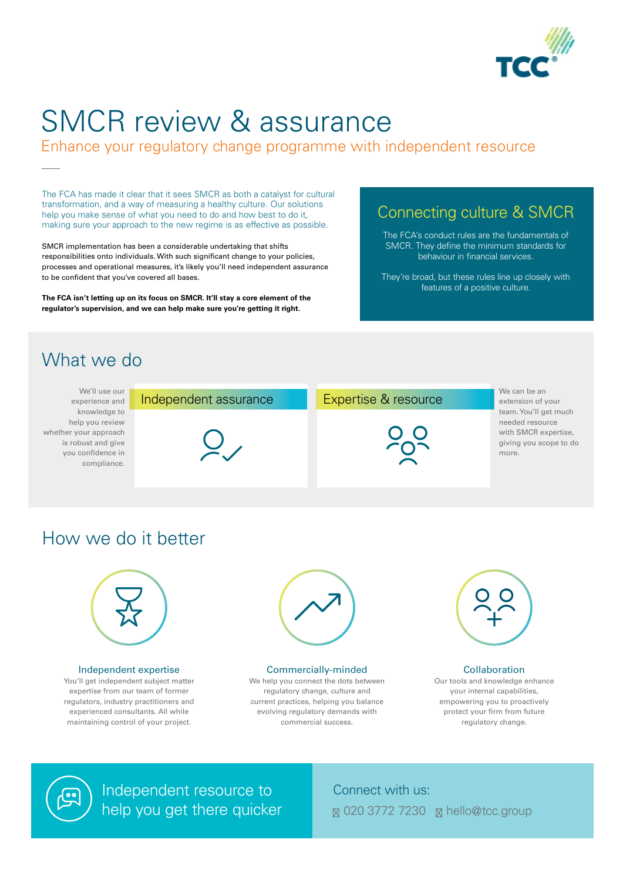

# SMCR review & assurance

Enhance your regulatory change programme with independent resource

The FCA has made it clear that it sees SMCR as both a catalyst for cultural transformation, and a way of measuring a healthy culture. Our solutions help you make sense of what you need to do and how best to do it, making sure your approach to the new regime is as effective as possible.

SMCR implementation has been a considerable undertaking that shifts responsibilities onto individuals. With such significant change to your policies, processes and operational measures, it's likely you'll need independent assurance to be confident that you've covered all bases.

**The FCA isn't letting up on its focus on SMCR. It'll stay a core element of the regulator's supervision, and we can help make sure you're getting it right.**



### Connect with us: 020 3772 7230 hello@tcc.group

| experience and<br>knowledge to<br>help you review<br>is robust and give<br>you confidence in<br>compliance. | We'll use our         |
|-------------------------------------------------------------------------------------------------------------|-----------------------|
|                                                                                                             |                       |
|                                                                                                             |                       |
|                                                                                                             |                       |
|                                                                                                             | whether your approach |
|                                                                                                             |                       |
|                                                                                                             |                       |
|                                                                                                             |                       |

| Independent assurance | Expertise & resource | We can be an<br>extension of your                                                                   |
|-----------------------|----------------------|-----------------------------------------------------------------------------------------------------|
|                       | $O_{\mathcal{L}}$    | team. You'll get much<br>needed resource<br>with SMCR expertise,<br>giving you scope to do<br>more. |

## How we do it better



## Connecting culture & SMCR

The FCA's conduct rules are the fundamentals of SMCR. They define the minimum standards for behaviour in financial services.

They're broad, but these rules line up closely with features of a positive culture.

## What we do

#### Independent expertise

You'll get independent subject matter expertise from our team of former regulators, industry practitioners and experienced consultants. All while maintaining control of your project.

Our tools and knowledge enhance your internal capabilities, empowering you to proactively protect your firm from future regulatory change.

#### Commercially-minded

We help you connect the dots between regulatory change, culture and current practices, helping you balance evolving regulatory demands with commercial success.

#### **Collaboration**